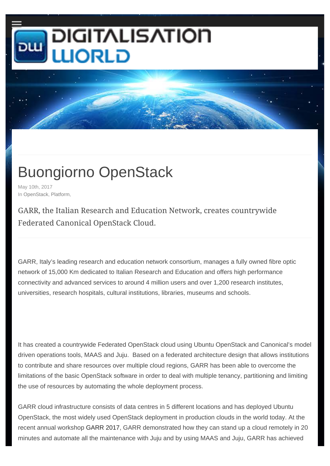## **DIGITALISATION JORLD**

## Buongiorno OpenStack

May 10th, 2017 In OpenStack, Platform,

GARR, the Italian Research and Education Network, creates countrywide Federated Canonical OpenStack Cloud.

GARR, Italy's leading research and education network consortium, manages a fully owned fibre optic network of 15,000 Km dedicated to Italian Research and Education and offers high performance connectivity and advanced services to around 4 million users and over 1,200 research institutes, universities, research hospitals, cultural institutions, libraries, museums and schools.

It has created a countrywide Federated OpenStack cloud using Ubuntu OpenStack and Canonical's model driven operations tools, MAAS and Juju. Based on a federated architecture design that allows institutions to contribute and share resources over multiple cloud regions, GARR has been able to overcome the limitations of the basic OpenStack software in order to deal with multiple tenancy, partitioning and limiting the use of resources by automating the whole deployment process.

GARR cloud infrastructure consists of data centres in 5 different locations and has deployed Ubuntu OpenStack, the most widely used OpenStack deployment in production clouds in the world today. At the recent annual workshop GARR 2017, GARR demonstrated how they can stand up a cloud remotely in 20 minutes and automate all the maintenance with Juju and by using MAAS and Juju, GARR has achieved